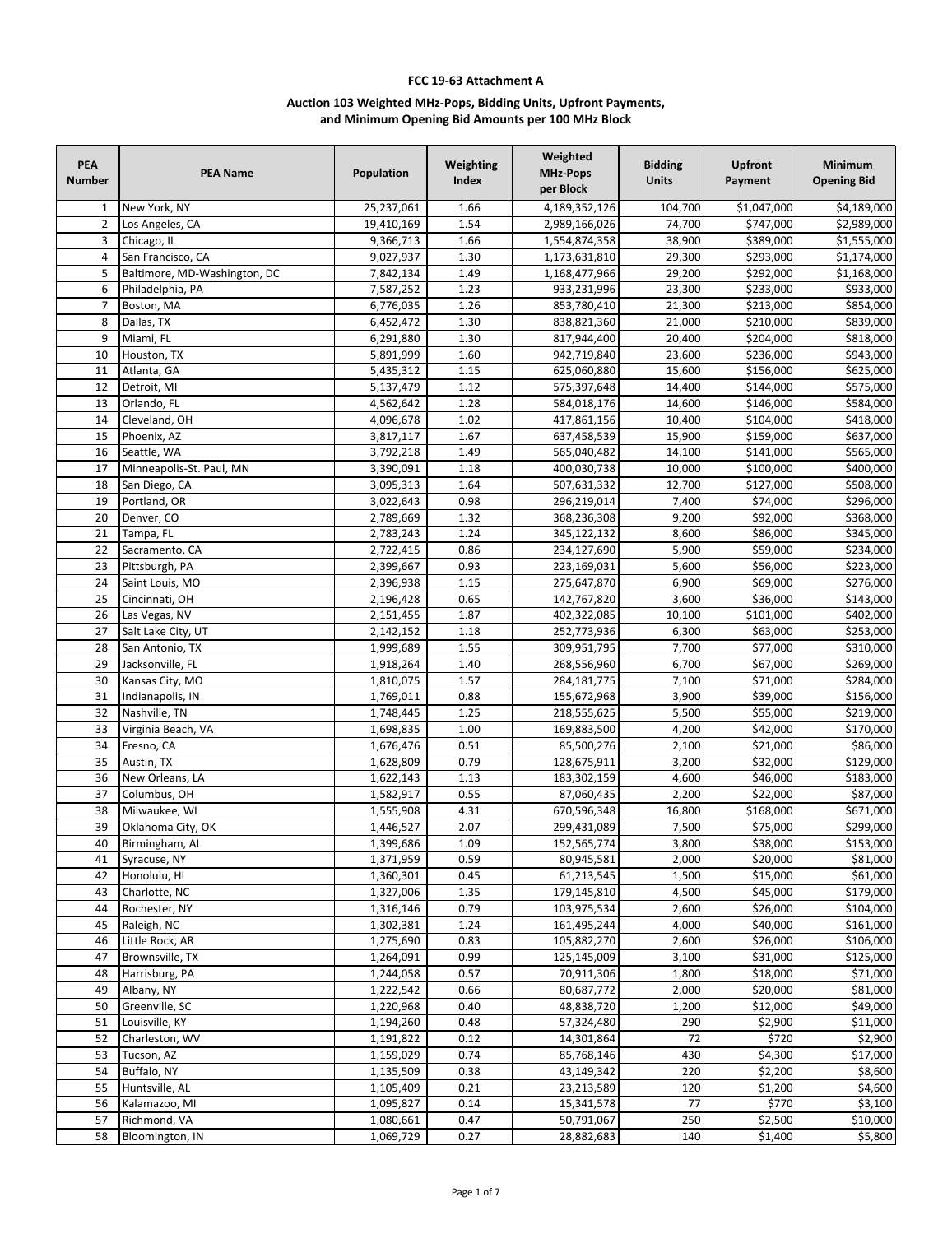## **FCC 19-63 Attachment A**

## **Auction 103 Weighted MHz-Pops, Bidding Units, Upfront Payments, and Minimum Opening Bid Amounts per 100 MHz Block**

| <b>PEA</b><br><b>Number</b> | <b>PEA Name</b>                   | Population             | Weighting<br>Index | Weighted<br><b>MHz-Pops</b><br>per Block | <b>Bidding</b><br><b>Units</b> | Upfront<br>Payment   | <b>Minimum</b><br><b>Opening Bid</b> |
|-----------------------------|-----------------------------------|------------------------|--------------------|------------------------------------------|--------------------------------|----------------------|--------------------------------------|
| 1                           | New York, NY                      | 25,237,061             | 1.66               | 4,189,352,126                            | 104,700                        | \$1,047,000          | \$4,189,000                          |
| $\overline{2}$              | Los Angeles, CA                   | 19,410,169             | 1.54               | 2,989,166,026                            | 74,700                         | \$747,000            | \$2,989,000                          |
| 3                           | Chicago, IL                       | 9,366,713              | 1.66               | 1,554,874,358                            | 38,900                         | \$389,000            | \$1,555,000                          |
| $\sqrt{4}$                  | San Francisco, CA                 | 9,027,937              | 1.30               | 1,173,631,810                            | 29,300                         | \$293,000            | \$1,174,000                          |
| 5                           | Baltimore, MD-Washington, DC      | 7,842,134              | 1.49               | 1,168,477,966                            | 29,200                         | \$292,000            | \$1,168,000                          |
| 6                           | Philadelphia, PA                  | 7,587,252              | 1.23               | 933,231,996                              | 23,300                         | \$233,000            | \$933,000                            |
| $\overline{7}$              | Boston, MA                        | 6,776,035              | 1.26               | 853,780,410                              | 21,300                         | \$213,000            | \$854,000                            |
| 8                           | Dallas, TX                        | 6,452,472              | 1.30               | 838,821,360                              | 21,000                         | \$210,000            | \$839,000                            |
| 9                           | Miami, FL                         | 6,291,880              | 1.30               | 817,944,400                              | 20,400                         | \$204,000            | \$818,000                            |
| 10                          | Houston, TX                       | 5,891,999              | 1.60               | 942,719,840                              | 23,600                         | \$236,000            | \$943,000                            |
| 11                          | Atlanta, GA                       | 5,435,312              | 1.15               | 625,060,880                              | 15,600                         | \$156,000            | \$625,000                            |
| 12                          | Detroit, MI                       | 5,137,479              | 1.12               | 575,397,648                              | 14,400                         | \$144,000            | \$575,000                            |
| 13                          | Orlando, FL                       | 4,562,642              | 1.28               | 584,018,176                              | 14,600                         | \$146,000            | \$584,000                            |
| 14                          | Cleveland, OH                     | 4,096,678              | 1.02               | 417,861,156                              | 10,400                         | \$104,000            | \$418,000                            |
| 15                          | Phoenix, AZ                       | 3,817,117              | 1.67               | 637,458,539                              | 15,900                         | \$159,000            | \$637,000                            |
| 16                          | Seattle, WA                       | 3,792,218              | 1.49               | 565,040,482                              | 14,100                         | \$141,000            | \$565,000                            |
| 17                          | Minneapolis-St. Paul, MN          | 3,390,091              | 1.18               | 400,030,738                              | 10,000                         | \$100,000            | \$400,000                            |
| 18                          | San Diego, CA                     | 3,095,313              | 1.64               | 507,631,332                              | 12,700                         | \$127,000            | \$508,000                            |
| 19                          | Portland, OR                      | 3,022,643              | 0.98               | 296,219,014                              | 7,400                          | \$74,000             | \$296,000                            |
| 20                          | Denver, CO                        | 2,789,669              | 1.32               | 368,236,308                              | 9,200                          | \$92,000             | \$368,000                            |
| 21                          | Tampa, FL                         | 2,783,243              | 1.24               | 345,122,132                              | 8,600                          | \$86,000             | \$345,000                            |
| 22                          | Sacramento, CA                    | 2,722,415<br>2,399,667 | 0.86<br>0.93       | 234,127,690                              | 5,900                          | \$59,000<br>\$56,000 | \$234,000                            |
| 23<br>24                    | Pittsburgh, PA<br>Saint Louis, MO | 2,396,938              | 1.15               | 223,169,031<br>275,647,870               | 5,600<br>6,900                 | \$69,000             | \$223,000<br>\$276,000               |
| 25                          | Cincinnati, OH                    | 2,196,428              | 0.65               | 142,767,820                              | 3,600                          | \$36,000             | \$143,000                            |
| 26                          | Las Vegas, NV                     | 2,151,455              | 1.87               | 402,322,085                              | 10,100                         | \$101,000            | \$402,000                            |
| 27                          | Salt Lake City, UT                | 2,142,152              | 1.18               | 252,773,936                              | 6,300                          | \$63,000             | \$253,000                            |
| 28                          | San Antonio, TX                   | 1,999,689              | 1.55               | 309,951,795                              | 7,700                          | \$77,000             | \$310,000                            |
| 29                          | Jacksonville, FL                  | 1,918,264              | 1.40               | 268,556,960                              | 6,700                          | \$67,000             | \$269,000                            |
| 30                          | Kansas City, MO                   | 1,810,075              | 1.57               | 284,181,775                              | 7,100                          | \$71,000             | \$284,000                            |
| 31                          | Indianapolis, IN                  | 1,769,011              | 0.88               | 155,672,968                              | 3,900                          | \$39,000             | \$156,000                            |
| 32                          | Nashville, TN                     | 1,748,445              | 1.25               | 218,555,625                              | 5,500                          | \$55,000             | \$219,000                            |
| 33                          | Virginia Beach, VA                | 1,698,835              | 1.00               | 169,883,500                              | 4,200                          | \$42,000             | \$170,000                            |
| 34                          | Fresno, CA                        | 1,676,476              | 0.51               | 85,500,276                               | 2,100                          | \$21,000             | \$86,000                             |
| 35                          | Austin, TX                        | 1,628,809              | 0.79               | 128,675,911                              | 3,200                          | \$32,000             | \$129,000                            |
| 36                          | New Orleans, LA                   | 1,622,143              | 1.13               | 183,302,159                              | 4,600                          | \$46,000             | \$183,000                            |
| 37                          | Columbus, OH                      | 1,582,917              | 0.55               | 87,060,435                               | 2,200                          | \$22,000             | \$87,000                             |
| 38                          | Milwaukee, WI                     | 1,555,908              | 4.31               | 670,596,348                              | 16,800                         | \$168,000            | \$671,000                            |
| 39                          | Oklahoma City, OK                 | 1,446,527              | 2.07               | 299,431,089                              | 7,500                          | \$75,000             | \$299,000                            |
| 40                          | Birmingham, AL                    | 1,399,686              | 1.09               | 152,565,774                              | 3,800                          | \$38,000             | \$153,000                            |
| 41                          | Syracuse, NY                      | 1,371,959              | 0.59               | 80,945,581                               | 2,000                          | \$20,000             | \$81,000                             |
| 42                          | Honolulu, HI                      | 1,360,301              | 0.45               | 61,213,545                               | 1,500                          | \$15,000             | \$61,000                             |
| 43                          | Charlotte, NC                     | 1,327,006              | 1.35               | 179,145,810                              | 4,500                          | \$45,000             | \$179,000                            |
| 44                          | Rochester, NY                     | 1,316,146              | 0.79               | 103,975,534                              | 2,600                          | \$26,000             | \$104,000                            |
| 45                          | Raleigh, NC                       | 1,302,381              | 1.24               | 161,495,244                              | 4,000                          | \$40,000             | \$161,000                            |
| 46                          | Little Rock, AR                   | 1,275,690              | 0.83               | 105,882,270                              | 2,600                          | \$26,000             | \$106,000                            |
| 47                          | Brownsville, TX                   | 1,264,091              | 0.99               | 125,145,009                              | 3,100                          | \$31,000             | \$125,000                            |
| 48                          | Harrisburg, PA                    | 1,244,058              | 0.57               | 70,911,306                               | 1,800                          | \$18,000             | \$71,000                             |
| 49                          | Albany, NY                        | 1,222,542              | 0.66               | 80,687,772                               | 2,000                          | \$20,000             | \$81,000                             |
| 50                          | Greenville, SC                    | 1,220,968              | 0.40               | 48,838,720                               | 1,200                          | \$12,000             | \$49,000                             |
| 51                          | Louisville, KY                    | 1,194,260              | 0.48               | 57,324,480                               | 290                            | \$2,900              | \$11,000                             |
| 52                          | Charleston, WV                    | 1,191,822              | 0.12               | 14,301,864                               | 72                             | \$720                | \$2,900                              |
| 53                          | Tucson, AZ                        | 1,159,029              | 0.74               | 85,768,146                               | 430                            | \$4,300              | \$17,000                             |
| 54                          | Buffalo, NY                       | 1,135,509              | 0.38               | 43,149,342                               | 220                            | \$2,200              | \$8,600                              |
| 55                          | Huntsville, AL                    | 1,105,409              | 0.21               | 23,213,589                               | 120                            | \$1,200              | \$4,600                              |
| 56                          | Kalamazoo, MI                     | 1,095,827              | 0.14               | 15,341,578                               | 77                             | \$770                | \$3,100                              |
| 57                          | Richmond, VA                      | 1,080,661              | 0.47               | 50,791,067                               | 250                            | \$2,500              | \$10,000                             |
| 58                          | <b>Bloomington, IN</b>            | 1,069,729              | 0.27               | 28,882,683                               | 140                            | \$1,400              | \$5,800                              |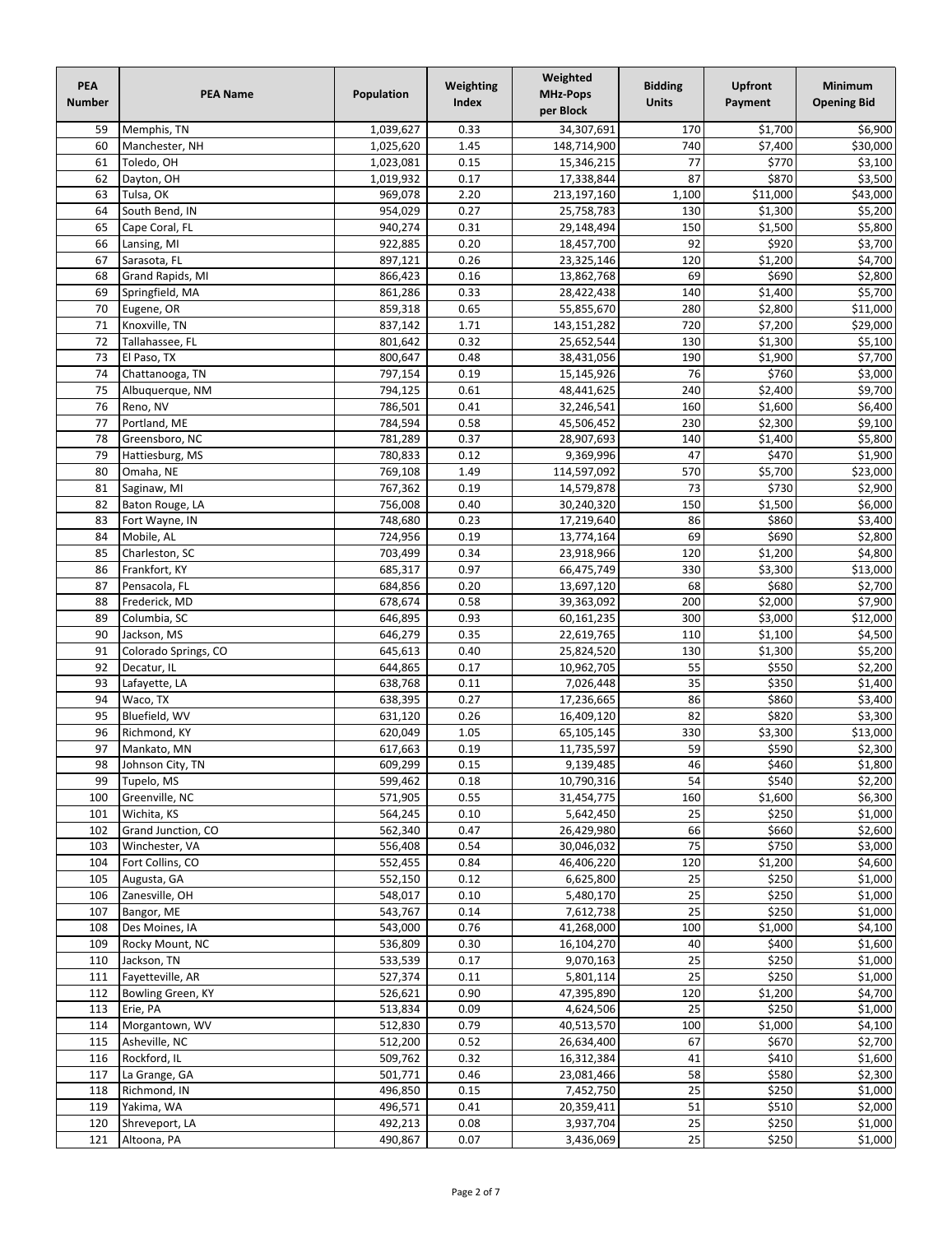| PEA<br><b>Number</b> | <b>PEA Name</b>                  | Population         | Weighting<br><b>Index</b> | Weighted<br><b>MHz-Pops</b><br>per Block | <b>Bidding</b><br><b>Units</b> | <b>Upfront</b><br>Payment | Minimum<br><b>Opening Bid</b> |
|----------------------|----------------------------------|--------------------|---------------------------|------------------------------------------|--------------------------------|---------------------------|-------------------------------|
| 59                   | Memphis, TN                      | 1,039,627          | 0.33                      | 34,307,691                               | 170                            | \$1,700                   | \$6,900                       |
| 60                   | Manchester, NH                   | 1,025,620          | 1.45                      | 148,714,900                              | 740                            | \$7,400                   | \$30,000                      |
| 61                   | Toledo, OH                       | 1,023,081          | 0.15                      | 15,346,215                               | 77                             | \$770                     | \$3,100                       |
| 62                   | Dayton, OH                       | 1,019,932          | 0.17                      | 17,338,844                               | 87                             | \$870                     | \$3,500                       |
| 63                   | Tulsa, OK                        | 969,078            | 2.20                      | 213,197,160                              | 1,100                          | \$11,000                  | \$43,000                      |
| 64                   | South Bend, IN                   | 954,029            | 0.27                      | 25,758,783                               | 130                            | \$1,300                   | 55,200                        |
| 65                   | Cape Coral, FL                   | 940,274            | 0.31                      | 29,148,494                               | 150                            | \$1,500                   | \$5,800                       |
| 66                   | Lansing, MI                      | 922,885            | 0.20                      | 18,457,700                               | 92                             | \$920                     | \$3,700                       |
| 67                   | Sarasota, FL                     | 897,121            | 0.26                      | 23,325,146                               | 120                            | \$1,200                   | \$4,700                       |
| 68                   | Grand Rapids, MI                 | 866,423            | 0.16                      | 13,862,768                               | 69                             | \$690                     | 52,800                        |
| 69                   | Springfield, MA                  | 861,286            | 0.33                      | 28,422,438                               | 140                            | \$1,400                   | \$5,700                       |
| 70                   | Eugene, OR                       | 859,318            | 0.65<br>1.71              | 55,855,670                               | 280<br>720                     | \$2,800                   | \$11,000<br>\$29,000          |
| 71<br>72             | Knoxville, TN<br>Tallahassee, FL | 837,142<br>801,642 | 0.32                      | 143,151,282<br>25,652,544                | 130                            | \$7,200<br>\$1,300        | \$5,100                       |
| 73                   | El Paso, TX                      | 800,647            | 0.48                      | 38,431,056                               | 190                            | \$1,900                   | \$7,700                       |
| 74                   | Chattanooga, TN                  | 797,154            | 0.19                      | 15,145,926                               | 76                             | \$760                     | 53,000                        |
| 75                   | Albuquerque, NM                  | 794,125            | 0.61                      | 48,441,625                               | 240                            | \$2,400                   | 59,700                        |
| 76                   | Reno, NV                         | 786,501            | 0.41                      | 32,246,541                               | 160                            | \$1,600                   | \$6,400                       |
| 77                   | Portland, ME                     | 784,594            | 0.58                      | 45,506,452                               | 230                            | \$2,300                   | \$9,100                       |
| 78                   | Greensboro, NC                   | 781,289            | 0.37                      | 28,907,693                               | 140                            | \$1,400                   | 55,800                        |
| 79                   | Hattiesburg, MS                  | 780,833            | 0.12                      | 9,369,996                                | 47                             | \$470                     | \$1,900                       |
| 80                   | Omaha, NE                        | 769,108            | 1.49                      | 114,597,092                              | 570                            | \$5,700                   | \$23,000                      |
| 81                   | Saginaw, MI                      | 767,362            | 0.19                      | 14,579,878                               | 73                             | \$730                     | \$2,900                       |
| 82                   | Baton Rouge, LA                  | 756,008            | 0.40                      | 30,240,320                               | 150                            | \$1,500                   | \$6,000                       |
| 83                   | Fort Wayne, IN                   | 748,680            | 0.23                      | 17,219,640                               | 86                             | \$860                     | \$3,400                       |
| 84                   | Mobile, AL                       | 724,956            | 0.19                      | 13,774,164                               | 69                             | \$690                     | \$2,800                       |
| 85                   | Charleston, SC                   | 703,499            | 0.34                      | 23,918,966                               | 120                            | \$1,200                   | \$4,800                       |
| 86                   | Frankfort, KY                    | 685,317            | 0.97                      | 66,475,749                               | 330                            | \$3,300                   | \$13,000                      |
| 87                   | Pensacola, FL                    | 684,856            | 0.20                      | 13,697,120                               | 68                             | \$680                     | \$2,700                       |
| 88                   | Frederick, MD                    | 678,674            | 0.58                      | 39,363,092                               | 200                            | \$2,000                   | \$7,900                       |
| 89                   | Columbia, SC                     | 646,895            | 0.93                      | 60,161,235                               | 300                            | \$3,000                   | \$12,000                      |
| 90                   | Jackson, MS                      | 646,279            | 0.35                      | 22,619,765                               | 110                            | \$1,100                   | \$4,500                       |
| 91                   | Colorado Springs, CO             | 645,613            | 0.40                      | 25,824,520                               | 130                            | \$1,300                   | 55,200                        |
| 92                   | Decatur, IL                      | 644,865            | 0.17                      | 10,962,705                               | 55                             | \$550                     | \$2,200                       |
| 93                   | Lafayette, LA                    | 638,768            | 0.11                      | 7,026,448                                | $\overline{35}$                | \$350                     | \$1,400                       |
| 94                   | Waco, TX                         | 638,395            | 0.27                      | 17,236,665                               | 86                             | \$860                     | \$3,400                       |
| 95                   | Bluefield, WV                    | 631,120            | 0.26                      | 16,409,120                               | 82                             | \$820                     | 53,300                        |
| 96                   | Richmond, KY                     | 620,049            | 1.05                      | 65,105,145                               | 330                            | \$3,300                   | \$13,000                      |
| 97                   | Mankato, MN                      | 617,663            | 0.19                      | 11,735,597                               | 59                             | \$590                     | \$2,300                       |
| 98                   | Johnson City, TN                 | 609,299            | 0.15                      | 9,139,485                                | 46                             | \$460                     | \$1,800                       |
| 99                   | Tupelo, MS                       | 599,462            | 0.18                      | 10,790,316                               | 54                             | \$540                     | \$2,200                       |
| 100                  | Greenville, NC                   | 571,905            | 0.55                      | 31,454,775                               | 160                            | \$1,600                   | \$6,300                       |
| 101                  | Wichita, KS                      | 564,245            | 0.10                      | 5,642,450                                | 25                             | \$250                     | \$1,000                       |
| 102                  | Grand Junction, CO               | 562,340            | 0.47                      | 26,429,980                               | 66                             | \$660                     | \$2,600                       |
| 103                  | Winchester, VA                   | 556,408            | 0.54                      | 30,046,032                               | 75                             | \$750                     | \$3,000                       |
| 104                  | Fort Collins, CO                 | 552,455            | 0.84                      | 46,406,220                               | 120<br>25                      | \$1,200                   | \$4,600                       |
| 105<br>106           | Augusta, GA<br>Zanesville, OH    | 552,150<br>548,017 | 0.12<br>0.10              | 6,625,800<br>5,480,170                   | 25                             | \$250<br>\$250            | \$1,000<br>\$1,000            |
| 107                  | Bangor, ME                       | 543,767            | 0.14                      | 7,612,738                                | 25                             | \$250                     | \$1,000                       |
| 108                  | Des Moines, IA                   | 543,000            | 0.76                      | 41,268,000                               | 100                            | \$1,000                   | \$4,100                       |
| 109                  | Rocky Mount, NC                  | 536,809            | 0.30                      | 16,104,270                               | 40                             | \$400                     | \$1,600                       |
| 110                  | Jackson, TN                      | 533,539            | 0.17                      | 9,070,163                                | 25                             | \$250                     | \$1,000                       |
| 111                  | Fayetteville, AR                 | 527,374            | 0.11                      | 5,801,114                                | 25                             | \$250                     | \$1,000                       |
| 112                  | Bowling Green, KY                | 526,621            | 0.90                      | 47,395,890                               | 120                            | \$1,200                   | \$4,700                       |
| 113                  | Erie, PA                         | 513,834            | 0.09                      | 4,624,506                                | 25                             | \$250                     | \$1,000                       |
| 114                  | Morgantown, WV                   | 512,830            | 0.79                      | 40,513,570                               | 100                            | \$1,000                   | \$4,100                       |
| 115                  | Asheville, NC                    | 512,200            | 0.52                      | 26,634,400                               | 67                             | \$670                     | \$2,700                       |
| 116                  | Rockford, IL                     | 509,762            | 0.32                      | 16,312,384                               | 41                             | \$410                     | \$1,600                       |
| 117                  | La Grange, GA                    | 501,771            | 0.46                      | 23,081,466                               | 58                             | \$580                     | \$2,300                       |
| 118                  | Richmond, IN                     | 496,850            | 0.15                      | 7,452,750                                | 25                             | \$250                     | \$1,000                       |
| 119                  | Yakima, WA                       | 496,571            | 0.41                      | 20,359,411                               | 51                             | \$510                     | \$2,000                       |
| 120                  | Shreveport, LA                   | 492,213            | 0.08                      | 3,937,704                                | 25                             | \$250                     | \$1,000                       |
| 121                  | Altoona, PA                      | 490,867            | 0.07                      | 3,436,069                                | 25                             | \$250                     | \$1,000                       |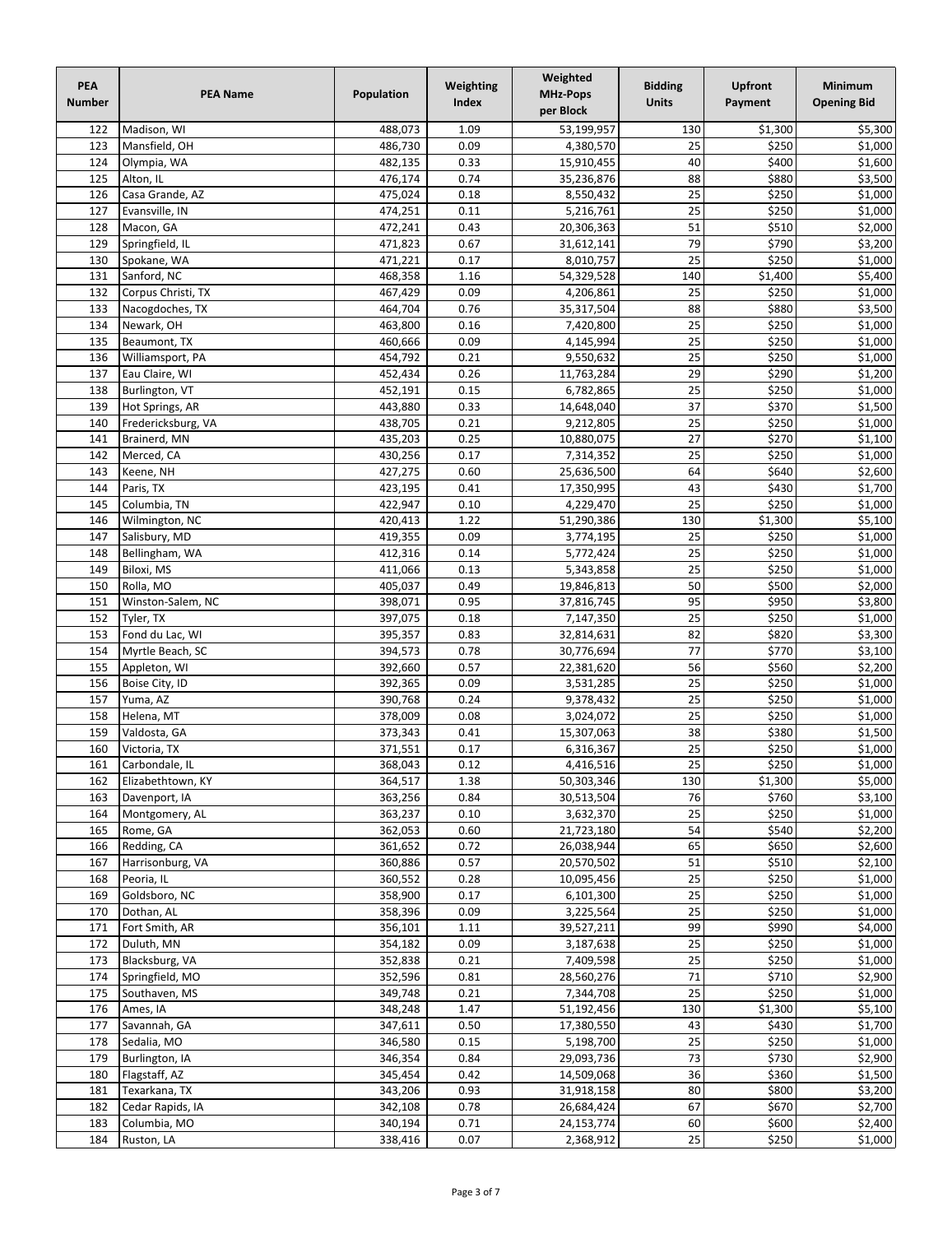| PEA<br><b>Number</b> | <b>PEA Name</b>             | Population         | Weighting<br>Index | Weighted<br><b>MHz-Pops</b><br>per Block | <b>Bidding</b><br><b>Units</b> | <b>Upfront</b><br>Payment | Minimum<br><b>Opening Bid</b> |
|----------------------|-----------------------------|--------------------|--------------------|------------------------------------------|--------------------------------|---------------------------|-------------------------------|
| 122                  | Madison, WI                 | 488,073            | 1.09               | 53,199,957                               | 130                            | \$1,300                   | \$5,300                       |
| 123                  | Mansfield, OH               | 486,730            | 0.09               | 4,380,570                                | 25                             | \$250                     | \$1,000                       |
| 124                  | Olympia, WA                 | 482,135            | 0.33               | 15,910,455                               | 40                             | \$400                     | \$1,600                       |
| 125                  | Alton, IL                   | 476,174            | 0.74               | 35,236,876                               | 88                             | \$880                     | \$3,500                       |
| 126                  | Casa Grande, AZ             | 475,024            | 0.18               | 8,550,432                                | 25                             | \$250                     | \$1,000                       |
| 127                  | Evansville, IN              | 474,251            | 0.11               | 5,216,761                                | 25                             | \$250                     | 51,000                        |
| 128                  | Macon, GA                   | 472,241            | 0.43               | 20,306,363                               | 51                             | \$510                     | \$2,000                       |
| 129                  | Springfield, IL             | 471,823            | 0.67               | 31,612,141                               | 79                             | \$790                     | \$3,200                       |
| 130                  | Spokane, WA                 | 471,221            | 0.17               | 8,010,757                                | 25                             | \$250                     | \$1,000                       |
| 131                  | Sanford, NC                 | 468,358            | 1.16               | 54,329,528                               | 140                            | \$1,400                   | \$5,400                       |
| 132                  | Corpus Christi, TX          | 467,429            | 0.09               | 4,206,861                                | 25                             | \$250                     | \$1,000                       |
| 133                  | Nacogdoches, TX             | 464,704            | 0.76<br>0.16       | 35,317,504                               | 88<br>25                       | \$880<br>\$250            | \$3,500                       |
| 134<br>135           | Newark, OH<br>Beaumont, TX  | 463,800<br>460,666 | 0.09               | 7,420,800<br>4,145,994                   | 25                             | \$250                     | \$1,000<br>\$1,000            |
| 136                  | Williamsport, PA            | 454,792            | 0.21               | 9,550,632                                | 25                             | \$250                     | 51,000                        |
| 137                  | Eau Claire, WI              | 452,434            | 0.26               | 11,763,284                               | $\overline{29}$                | \$290                     | 51,200                        |
| 138                  | Burlington, VT              | 452,191            | 0.15               | 6,782,865                                | 25                             | \$250                     | 51,000                        |
| 139                  | Hot Springs, AR             | 443,880            | 0.33               | 14,648,040                               | 37                             | \$370                     | \$1,500                       |
| 140                  | Fredericksburg, VA          | 438,705            | 0.21               | 9,212,805                                | 25                             | \$250                     | \$1,000                       |
| 141                  | Brainerd, MN                | 435,203            | 0.25               | 10,880,075                               | $\overline{27}$                | \$270                     | \$1,100                       |
| 142                  | Merced, CA                  | 430,256            | 0.17               | 7,314,352                                | 25                             | \$250                     | \$1,000                       |
| 143                  | Keene, NH                   | 427,275            | 0.60               | 25,636,500                               | 64                             | \$640                     | \$2,600                       |
| 144                  | Paris, TX                   | 423,195            | 0.41               | 17,350,995                               | 43                             | \$430                     | 51,700                        |
| 145                  | Columbia, TN                | 422,947            | 0.10               | 4,229,470                                | $\overline{25}$                | \$250                     | $\overline{$}1,000$           |
| 146                  | Wilmington, NC              | 420,413            | 1.22               | 51,290,386                               | 130                            | \$1,300                   | \$5,100                       |
| 147                  | Salisbury, MD               | 419,355            | 0.09               | 3,774,195                                | 25                             | \$250                     | \$1,000                       |
| 148                  | Bellingham, WA              | 412,316            | 0.14               | 5,772,424                                | 25                             | \$250                     | \$1,000                       |
| 149                  | Biloxi, MS                  | 411,066            | 0.13               | 5,343,858                                | 25                             | \$250                     | \$1,000                       |
| 150                  | Rolla, MO                   | 405,037            | 0.49               | 19,846,813                               | 50                             | \$500                     | \$2,000                       |
| 151                  | Winston-Salem, NC           | 398,071            | 0.95               | 37,816,745                               | 95                             | \$950                     | \$3,800                       |
| 152                  | Tyler, TX                   | 397,075            | 0.18               | 7,147,350                                | 25                             | \$250                     | 51,000                        |
| 153                  | Fond du Lac, WI             | 395,357            | 0.83               | 32,814,631                               | 82                             | \$820                     | \$3,300                       |
| 154                  | Myrtle Beach, SC            | 394,573            | 0.78               | 30,776,694                               | 77                             | \$770                     | \$3,100                       |
| 155                  | Appleton, WI                | 392,660            | 0.57               | 22,381,620                               | 56                             | \$560                     | \$2,200                       |
| 156                  | Boise City, ID              | 392,365            | 0.09               | 3,531,285                                | 25                             | \$250                     | \$1,000                       |
| 157                  | Yuma, AZ                    | 390,768            | 0.24               | 9,378,432                                | 25                             | \$250                     | \$1,000                       |
| 158                  | Helena, MT                  | 378,009            | 0.08               | 3,024,072                                | 25                             | \$250                     | $\overline{$}1,000$           |
| 159                  | Valdosta, GA                | 373,343            | 0.41               | 15,307,063                               | 38                             | \$380                     | \$1,500                       |
| 160                  | Victoria, TX                | 371,551            | 0.17               | 6,316,367                                | 25                             | \$250                     | $\overline{$}1,000$           |
| 161                  | Carbondale, IL              | 368,043            | 0.12               | 4,416,516                                | $\overline{25}$                | \$250                     | \$1,000                       |
| 162                  | Elizabethtown, KY           | 364,517            | 1.38               | 50,303,346                               | 130                            | \$1,300                   | \$5,000                       |
| 163                  | Davenport, IA               | 363,256            | 0.84               | 30,513,504                               | 76                             | \$760                     | \$3,100                       |
| 164                  | Montgomery, AL              | 363,237            | 0.10               | 3,632,370                                | 25                             | \$250                     | \$1,000                       |
| 165                  | Rome, GA                    | 362,053            | 0.60               | 21,723,180                               | 54                             | \$540                     | \$2,200                       |
| 166                  | Redding, CA                 | 361,652            | 0.72               | 26,038,944                               | 65                             | \$650                     | \$2,600                       |
| 167<br>168           | Harrisonburg, VA            | 360,886<br>360,552 | 0.57<br>0.28       | 20,570,502<br>10,095,456                 | 51<br>25                       | \$510<br>\$250            | \$2,100<br>\$1,000            |
| 169                  | Peoria, IL<br>Goldsboro, NC | 358,900            | 0.17               | 6,101,300                                | 25                             | \$250                     | \$1,000                       |
| 170                  | Dothan, AL                  | 358,396            | 0.09               | 3,225,564                                | 25                             | \$250                     | \$1,000                       |
| 171                  | Fort Smith, AR              | 356,101            | 1.11               | 39,527,211                               | 99                             | \$990                     | \$4,000                       |
| 172                  | Duluth, MN                  | 354,182            | 0.09               | 3,187,638                                | 25                             | \$250                     | \$1,000                       |
| 173                  | Blacksburg, VA              | 352,838            | 0.21               | 7,409,598                                | 25                             | \$250                     | \$1,000                       |
| 174                  | Springfield, MO             | 352,596            | 0.81               | 28,560,276                               | 71                             | \$710                     | \$2,900                       |
| 175                  | Southaven, MS               | 349,748            | 0.21               | 7,344,708                                | 25                             | \$250                     | \$1,000                       |
| 176                  | Ames, IA                    | 348,248            | 1.47               | 51,192,456                               | 130                            | \$1,300                   | \$5,100                       |
| 177                  | Savannah, GA                | 347,611            | 0.50               | 17,380,550                               | 43                             | \$430                     | \$1,700                       |
| 178                  | Sedalia, MO                 | 346,580            | 0.15               | 5,198,700                                | 25                             | \$250                     | \$1,000                       |
| 179                  | Burlington, IA              | 346,354            | 0.84               | 29,093,736                               | 73                             | \$730                     | \$2,900                       |
| 180                  | Flagstaff, AZ               | 345,454            | 0.42               | 14,509,068                               | 36                             | \$360                     | \$1,500                       |
| 181                  | Texarkana, TX               | 343,206            | 0.93               | 31,918,158                               | 80                             | \$800                     | \$3,200                       |
| 182                  | Cedar Rapids, IA            | 342,108            | 0.78               | 26,684,424                               | 67                             | \$670                     | \$2,700                       |
| 183                  | Columbia, MO                | 340,194            | 0.71               | 24,153,774                               | 60                             | \$600                     | \$2,400                       |
| 184                  | Ruston, LA                  | 338,416            | 0.07               | 2,368,912                                | 25                             | \$250                     | \$1,000                       |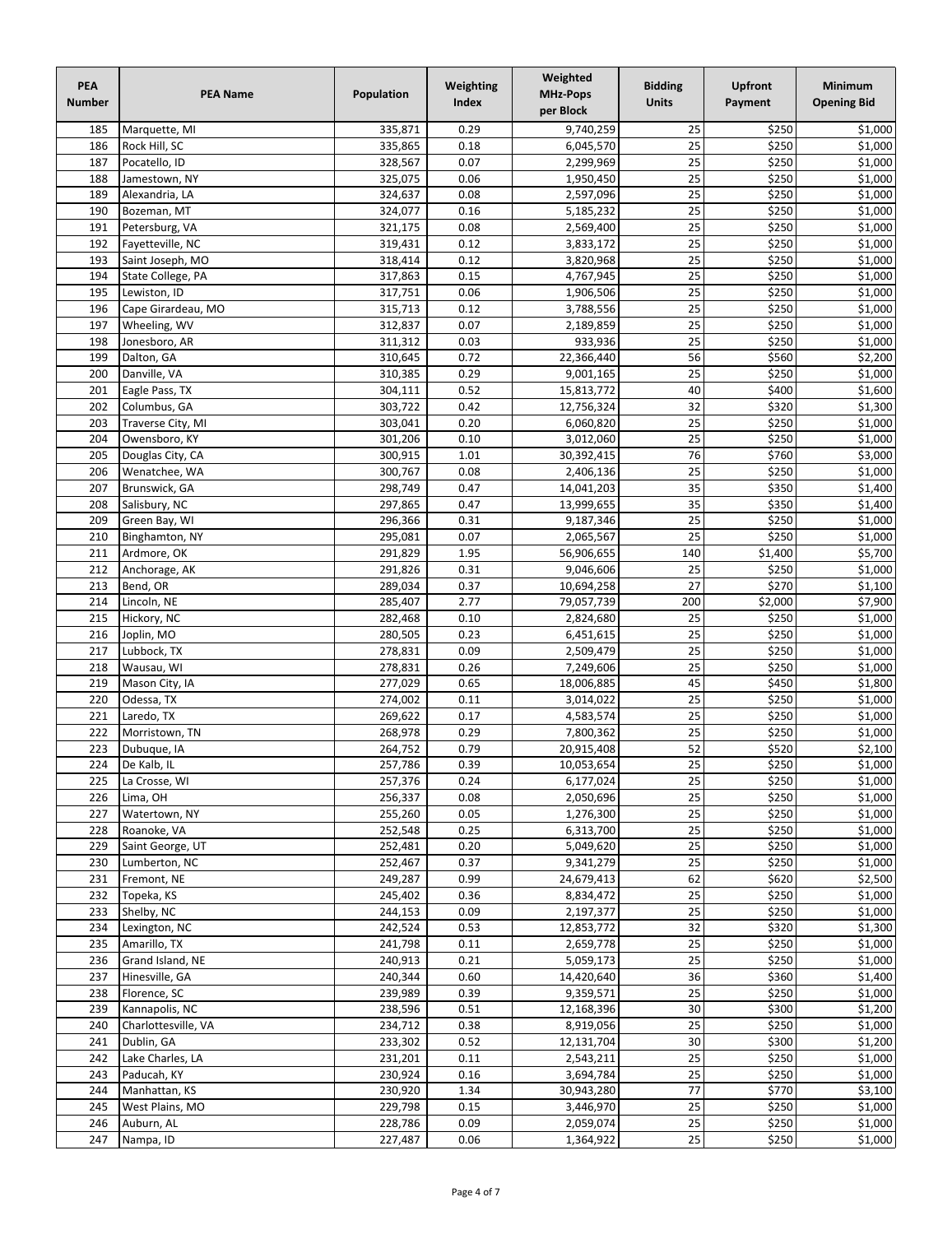| PEA<br><b>Number</b> | <b>PEA Name</b>                    | Population         | Weighting<br>Index | Weighted<br><b>MHz-Pops</b><br>per Block | <b>Bidding</b><br><b>Units</b> | <b>Upfront</b><br>Payment | <b>Minimum</b><br><b>Opening Bid</b> |
|----------------------|------------------------------------|--------------------|--------------------|------------------------------------------|--------------------------------|---------------------------|--------------------------------------|
| 185                  | Marquette, MI                      | 335,871            | 0.29               | 9,740,259                                | 25                             | \$250                     | \$1,000                              |
| 186                  | Rock Hill, SC                      | 335,865            | 0.18               | 6,045,570                                | 25                             | \$250                     | \$1,000                              |
| 187                  | Pocatello, ID                      | 328,567            | 0.07               | 2,299,969                                | 25                             | \$250                     | \$1,000                              |
| 188                  | Jamestown, NY                      | 325,075            | 0.06               | 1,950,450                                | 25                             | \$250                     | \$1,000                              |
| 189                  | Alexandria, LA                     | 324,637            | 0.08               | 2,597,096                                | 25                             | \$250                     | \$1,000                              |
| 190                  | Bozeman, MT                        | 324,077            | 0.16               | 5,185,232                                | 25                             | \$250                     | 51,000                               |
| 191                  | Petersburg, VA                     | 321,175            | 0.08               | 2,569,400                                | 25                             | \$250                     | \$1,000                              |
| 192                  | Fayetteville, NC                   | 319,431            | 0.12               | 3,833,172                                | 25                             | \$250                     | 51,000                               |
| 193                  | Saint Joseph, MO                   | 318,414            | 0.12               | 3,820,968                                | 25                             | \$250                     | \$1,000                              |
| 194                  | State College, PA                  | 317,863            | 0.15               | 4,767,945                                | 25<br>25                       | \$250                     | $\frac{1}{51,000}$                   |
| 195<br>196           | Lewiston, ID<br>Cape Girardeau, MO | 317,751<br>315,713 | 0.06<br>0.12       | 1,906,506<br>3,788,556                   | 25                             | \$250<br>\$250            | \$1,000<br>\$1,000                   |
| 197                  | Wheeling, WV                       | 312,837            | 0.07               | 2,189,859                                | 25                             | \$250                     | \$1,000                              |
| 198                  | Jonesboro, AR                      | 311,312            | 0.03               | 933,936                                  | 25                             | \$250                     | \$1,000                              |
| 199                  | Dalton, GA                         | 310,645            | 0.72               | 22,366,440                               | 56                             | \$560                     | \$2,200                              |
| 200                  | Danville, VA                       | 310,385            | 0.29               | 9,001,165                                | $\overline{25}$                | \$250                     | $\frac{1}{51,000}$                   |
| 201                  | Eagle Pass, TX                     | 304,111            | 0.52               | 15,813,772                               | 40                             | \$400                     | 51,600                               |
| 202                  | Columbus, GA                       | 303,722            | 0.42               | 12,756,324                               | 32                             | \$320                     | \$1,300                              |
| 203                  | Traverse City, MI                  | 303,041            | 0.20               | 6,060,820                                | 25                             | \$250                     | \$1,000                              |
| 204                  | Owensboro, KY                      | 301,206            | 0.10               | 3,012,060                                | 25                             | \$250                     | $\overline{$}1,000$                  |
| 205                  | Douglas City, CA                   | 300,915            | 1.01               | 30,392,415                               | 76                             | \$760                     | \$3,000                              |
| 206                  | Wenatchee, WA                      | 300,767            | 0.08               | 2,406,136                                | 25                             | \$250                     | \$1,000                              |
| 207                  | Brunswick, GA                      | 298,749            | 0.47               | 14,041,203                               | 35                             | \$350                     | \$1,400                              |
| 208                  | Salisbury, NC                      | 297,865            | 0.47               | 13,999,655                               | $\overline{35}$                | \$350                     | 51,400                               |
| 209                  | Green Bay, WI                      | 296,366            | 0.31               | 9,187,346                                | 25                             | \$250                     | $\frac{1}{51,000}$                   |
| 210                  | Binghamton, NY                     | 295,081            | 0.07               | 2,065,567                                | 25                             | \$250                     | \$1,000                              |
| 211                  | Ardmore, OK                        | 291,829            | 1.95               | 56,906,655                               | 140                            | \$1,400                   | \$5,700                              |
| 212                  | Anchorage, AK                      | 291,826            | 0.31               | 9,046,606                                | 25                             | \$250                     | \$1,000                              |
| 213                  | Bend, OR                           | 289,034            | 0.37               | 10,694,258                               | 27                             | \$270                     | \$1,100                              |
| 214                  | Lincoln, NE                        | 285,407            | 2.77               | 79,057,739                               | 200                            | \$2,000                   | \$7,900                              |
| 215                  | Hickory, NC                        | 282,468            | 0.10               | 2,824,680                                | 25                             | \$250                     | 51,000                               |
| 216                  | Joplin, MO                         | 280,505            | 0.23               | 6,451,615                                | $\overline{25}$                | \$250                     | \$1,000                              |
| 217                  | Lubbock, TX                        | 278,831            | 0.09               | 2,509,479                                | 25                             | \$250                     | 51,000                               |
| 218                  | Wausau, WI                         | 278,831            | 0.26               | 7,249,606                                | 25                             | \$250                     | \$1,000                              |
| 219                  | Mason City, IA                     | 277,029            | 0.65               | 18,006,885                               | 45                             | \$450                     | \$1,800                              |
| 220                  | Odessa, TX                         | 274,002            | 0.11               | 3,014,022                                | 25                             | \$250                     | \$1,000<br>$\overline{$}1,000$       |
| 221<br>222           | Laredo, TX<br>Morristown, TN       | 269,622            | 0.17               | 4,583,574                                | 25<br>25                       | \$250<br>\$250            | \$1,000                              |
| 223                  | Dubuque, IA                        | 268,978<br>264,752 | 0.29<br>0.79       | 7,800,362<br>20,915,408                  | 52                             | \$520                     | \$2,100                              |
|                      | 224 $De$ Kalb, IL                  | 257,786            | 0.39               | 10,053,654                               | $\overline{25}$                | \$250                     | \$1,000                              |
| 225                  | La Crosse, WI                      | 257,376            | 0.24               | 6,177,024                                | 25                             | \$250                     | \$1,000                              |
| 226                  | Lima, OH                           | 256,337            | 0.08               | 2,050,696                                | 25                             | \$250                     | \$1,000                              |
| 227                  | Watertown, NY                      | 255,260            | 0.05               | 1,276,300                                | 25                             | \$250                     | \$1,000                              |
| 228                  | Roanoke, VA                        | 252,548            | 0.25               | 6,313,700                                | 25                             | \$250                     | \$1,000                              |
| 229                  | Saint George, UT                   | 252,481            | 0.20               | 5,049,620                                | 25                             | \$250                     | \$1,000                              |
| 230                  | Lumberton, NC                      | 252,467            | 0.37               | 9,341,279                                | 25                             | \$250                     | \$1,000                              |
| 231                  | Fremont, NE                        | 249,287            | 0.99               | 24,679,413                               | 62                             | \$620                     | \$2,500                              |
| 232                  | Topeka, KS                         | 245,402            | 0.36               | 8,834,472                                | 25                             | \$250                     | \$1,000                              |
| 233                  | Shelby, NC                         | 244,153            | 0.09               | 2,197,377                                | 25                             | \$250                     | \$1,000                              |
| 234                  | Lexington, NC                      | 242,524            | 0.53               | 12,853,772                               | 32                             | \$320                     | \$1,300                              |
| 235                  | Amarillo, TX                       | 241,798            | 0.11               | 2,659,778                                | $\overline{25}$                | \$250                     | \$1,000                              |
| 236                  | Grand Island, NE                   | 240,913            | 0.21               | 5,059,173                                | 25                             | \$250                     | \$1,000                              |
| 237                  | Hinesville, GA                     | 240,344            | 0.60               | 14,420,640                               | 36                             | \$360                     | \$1,400                              |
| 238                  | Florence, SC                       | 239,989            | 0.39               | 9,359,571                                | 25                             | \$250                     | \$1,000                              |
| 239                  | Kannapolis, NC                     | 238,596            | 0.51               | 12,168,396                               | 30                             | \$300                     | \$1,200                              |
| 240                  | Charlottesville, VA                | 234,712            | 0.38               | 8,919,056                                | 25                             | \$250                     | \$1,000                              |
| 241                  | Dublin, GA                         | 233,302            | 0.52               | 12,131,704                               | 30                             | \$300                     | \$1,200                              |
| 242                  | Lake Charles, LA                   | 231,201            | 0.11               | 2,543,211                                | 25                             | \$250                     | \$1,000                              |
| 243                  | Paducah, KY                        | 230,924            | 0.16               | 3,694,784                                | 25                             | \$250                     | \$1,000                              |
| 244                  | Manhattan, KS                      | 230,920            | 1.34               | 30,943,280                               | 77                             | \$770                     | \$3,100                              |
| 245                  | West Plains, MO                    | 229,798            | 0.15               | 3,446,970                                | 25                             | \$250                     | \$1,000                              |
| 246                  | Auburn, AL                         | 228,786            | 0.09               | 2,059,074                                | 25                             | \$250                     | \$1,000                              |
| 247                  | Nampa, ID                          | 227,487            | 0.06               | 1,364,922                                | 25                             | \$250                     | \$1,000                              |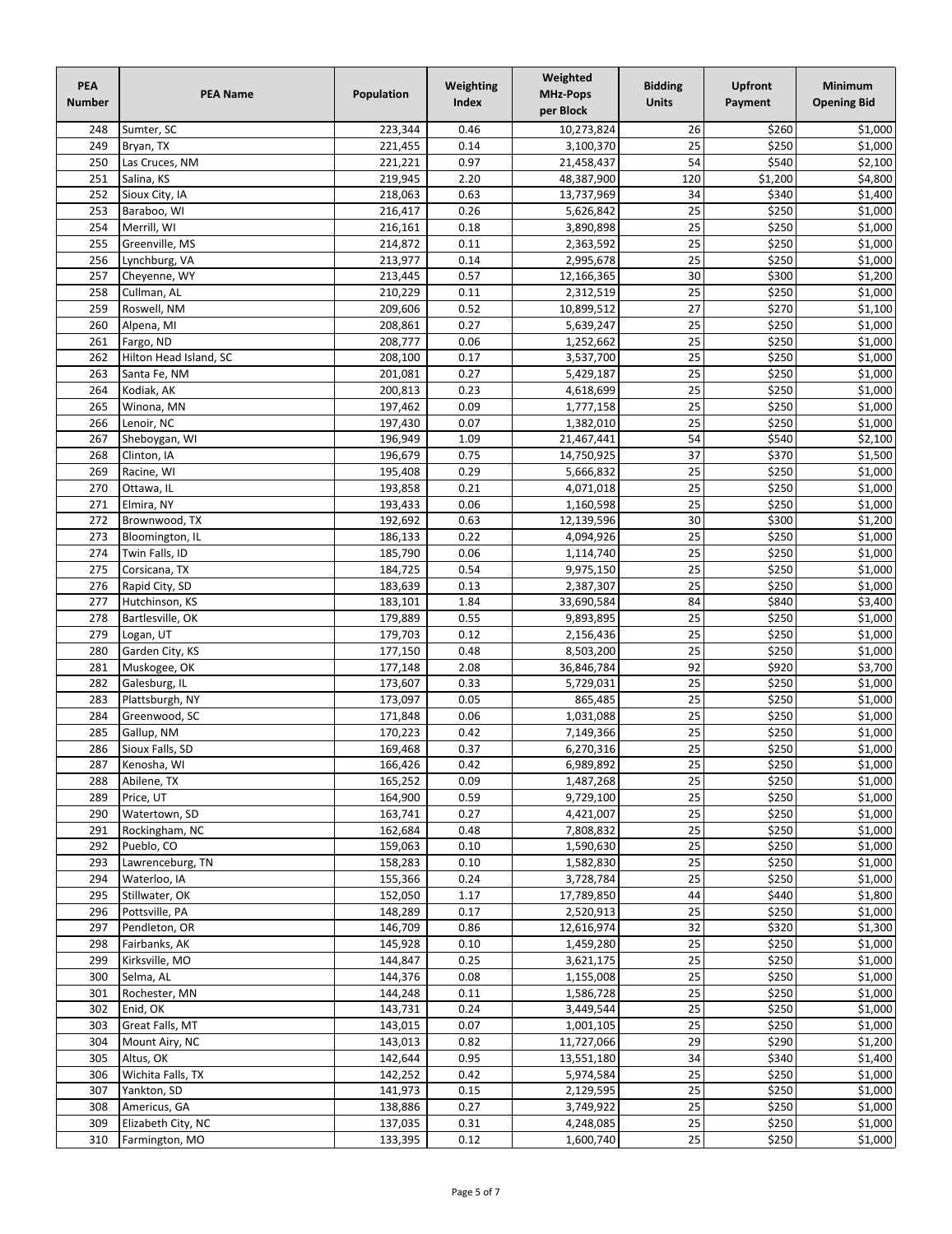| PEA<br><b>Number</b> | <b>PEA Name</b>                | Population         | Weighting<br><b>Index</b> | Weighted<br><b>MHz-Pops</b><br>per Block | <b>Bidding</b><br><b>Units</b> | <b>Upfront</b><br>Payment | <b>Minimum</b><br><b>Opening Bid</b> |
|----------------------|--------------------------------|--------------------|---------------------------|------------------------------------------|--------------------------------|---------------------------|--------------------------------------|
| 248                  | Sumter, SC                     | 223,344            | 0.46                      | 10,273,824                               | 26                             | \$260                     | \$1,000                              |
| 249                  | Bryan, TX                      | 221,455            | 0.14                      | 3,100,370                                | 25                             | \$250                     | \$1,000                              |
| 250                  | Las Cruces, NM                 | 221,221            | 0.97                      | 21,458,437                               | 54                             | \$540                     | \$2,100                              |
| 251                  | Salina, KS                     | 219,945            | 2.20                      | 48,387,900                               | 120                            | \$1,200                   | \$4,800                              |
| 252                  | Sioux City, IA                 | 218,063            | 0.63                      | 13,737,969                               | 34                             | \$340                     | \$1,400                              |
| 253                  | Baraboo, WI                    | 216,417            | 0.26                      | 5,626,842                                | 25                             | \$250                     | 51,000                               |
| 254                  | Merrill, WI                    | 216,161            | 0.18                      | 3,890,898                                | 25                             | \$250                     | 51,000                               |
| 255                  | Greenville, MS                 | 214,872            | 0.11                      | 2,363,592                                | 25                             | \$250                     | 51,000                               |
| 256                  | Lynchburg, VA                  | 213,977            | 0.14                      | 2,995,678                                | 25                             | \$250                     | \$1,000                              |
| 257                  | Cheyenne, WY                   | 213,445            | 0.57                      | 12,166,365                               | 30                             | \$300                     | 51,200                               |
| 258                  | Cullman, AL                    | 210,229            | 0.11                      | 2,312,519                                | 25                             | \$250                     | \$1,000                              |
| 259                  | Roswell, NM                    | 209,606            | 0.52                      | 10,899,512                               | 27                             | \$270                     | \$1,100                              |
| 260                  | Alpena, MI                     | 208,861            | 0.27                      | 5,639,247                                | 25                             | \$250                     | \$1,000                              |
| 261                  | Fargo, ND                      | 208,777            | 0.06                      | 1,252,662                                | 25                             | \$250                     | \$1,000                              |
| 262                  | Hilton Head Island, SC         | 208,100            | 0.17                      | 3,537,700                                | 25                             | \$250                     | 51,000                               |
| 263                  | Santa Fe, NM                   | 201,081            | 0.27                      | 5,429,187                                | $\overline{25}$                | \$250                     | $\frac{1}{51,000}$                   |
| 264                  | Kodiak, AK                     | 200,813            | 0.23                      | 4,618,699                                | 25                             | \$250                     | 51,000                               |
| 265                  | Winona, MN                     | 197,462            | 0.09                      | 1,777,158                                | 25                             | \$250                     | \$1,000                              |
| 266<br>267           | Lenoir, NC                     | 197,430            | 0.07                      | 1,382,010<br>21,467,441                  | 25<br>54                       | \$250<br>\$540            | \$1,000<br>$\overline{$}2,100$       |
| 268                  | Sheboygan, WI<br>Clinton, IA   | 196,949<br>196,679 | 1.09<br>0.75              | 14,750,925                               | 37                             | \$370                     | $\overline{$}1,500$                  |
| 269                  | Racine, WI                     | 195,408            | 0.29                      | 5,666,832                                | 25                             | \$250                     | \$1,000                              |
| 270                  | Ottawa, IL                     | 193,858            | 0.21                      | 4,071,018                                | 25                             | \$250                     | \$1,000                              |
| 271                  | Elmira, NY                     | 193,433            | 0.06                      | 1,160,598                                | $\overline{25}$                | \$250                     | \$1,000                              |
| 272                  | Brownwood, TX                  | 192,692            | 0.63                      | 12,139,596                               | 30                             | \$300                     | \$1,200                              |
| 273                  | Bloomington, IL                | 186,133            | 0.22                      | 4,094,926                                | 25                             | \$250                     | \$1,000                              |
| 274                  | Twin Falls, ID                 | 185,790            | 0.06                      | 1,114,740                                | 25                             | \$250                     | \$1,000                              |
| 275                  | Corsicana, TX                  | 184,725            | 0.54                      | 9,975,150                                | 25                             | \$250                     | \$1,000                              |
| 276                  | Rapid City, SD                 | 183,639            | 0.13                      | 2,387,307                                | 25                             | \$250                     | \$1,000                              |
| 277                  | Hutchinson, KS                 | 183,101            | 1.84                      | 33,690,584                               | 84                             | \$840                     | \$3,400                              |
| 278                  | Bartlesville, OK               | 179,889            | 0.55                      | 9,893,895                                | $\overline{25}$                | \$250                     | $\overline{$}1,000$                  |
| 279                  | Logan, UT                      | 179,703            | 0.12                      | 2,156,436                                | $\overline{25}$                | \$250                     | \$1,000                              |
| 280                  | Garden City, KS                | 177,150            | 0.48                      | 8,503,200                                | 25                             | \$250                     | 51,000                               |
| 281                  | Muskogee, OK                   | 177,148            | 2.08                      | 36,846,784                               | 92                             | \$920                     | \$3,700                              |
| 282                  | Galesburg, IL                  | 173,607            | 0.33                      | 5,729,031                                | 25                             | \$250                     | \$1,000                              |
| 283                  | Plattsburgh, NY                | 173,097            | 0.05                      | 865,485                                  | $\overline{25}$                | \$250                     | \$1,000                              |
| 284                  | Greenwood, SC                  | 171,848            | 0.06                      | 1,031,088                                | 25                             | \$250                     | $\overline{$}1,000$                  |
| 285                  | Gallup, NM                     | 170,223            | 0.42                      | 7,149,366                                | 25                             | \$250                     | \$1,000                              |
| 286                  | Sioux Falls, SD                | 169,468            | 0.37                      | 6,270,316                                | 25                             | \$250                     | $\overline{$}1,000$                  |
| 287                  | Kenosha, WI                    | 166,426            | 0.42                      | 6,989,892                                | $\overline{25}$                | \$250                     | \$1,000                              |
| 288                  | Abilene, TX                    | 165,252            | 0.09                      | 1,487,268                                | 25                             | \$250                     | \$1,000                              |
| 289                  | Price, UT                      | 164,900            | 0.59                      | 9,729,100                                | 25                             | \$250                     | \$1,000                              |
| 290                  | Watertown, SD                  | 163,741            | 0.27                      | 4,421,007                                | 25                             | \$250                     | \$1,000                              |
| 291                  | Rockingham, NC                 | 162,684<br>159,063 | 0.48                      | 7,808,832<br>1,590,630                   | 25<br>25                       | \$250<br>\$250            | \$1,000<br>\$1,000                   |
| 292<br>293           | Pueblo, CO<br>Lawrenceburg, TN | 158,283            | 0.10                      | 1,582,830                                | 25                             | \$250                     | \$1,000                              |
| 294                  | Waterloo, IA                   | 155,366            | 0.10<br>0.24              | 3,728,784                                | 25                             | \$250                     | \$1,000                              |
| 295                  | Stillwater, OK                 | 152,050            | 1.17                      | 17,789,850                               | 44                             | \$440                     | \$1,800                              |
| 296                  | Pottsville, PA                 | 148,289            | 0.17                      | 2,520,913                                | 25                             | \$250                     | \$1,000                              |
| 297                  | Pendleton, OR                  | 146,709            | 0.86                      | 12,616,974                               | 32                             | \$320                     | \$1,300                              |
| 298                  | Fairbanks, AK                  | 145,928            | 0.10                      | 1,459,280                                | 25                             | \$250                     | \$1,000                              |
| 299                  | Kirksville, MO                 | 144,847            | 0.25                      | 3,621,175                                | 25                             | \$250                     | \$1,000                              |
| 300                  | Selma, AL                      | 144,376            | 0.08                      | 1,155,008                                | 25                             | \$250                     | \$1,000                              |
| 301                  | Rochester, MN                  | 144,248            | 0.11                      | 1,586,728                                | 25                             | \$250                     | \$1,000                              |
| 302                  | Enid, OK                       | 143,731            | 0.24                      | 3,449,544                                | $\overline{25}$                | \$250                     | \$1,000                              |
| 303                  | Great Falls, MT                | 143,015            | 0.07                      | 1,001,105                                | 25                             | \$250                     | \$1,000                              |
| 304                  | Mount Airy, NC                 | 143,013            | 0.82                      | 11,727,066                               | 29                             | \$290                     | \$1,200                              |
| 305                  | Altus, OK                      | 142,644            | 0.95                      | 13,551,180                               | 34                             | \$340                     | \$1,400                              |
| 306                  | Wichita Falls, TX              | 142,252            | 0.42                      | 5,974,584                                | 25                             | \$250                     | \$1,000                              |
| 307                  | Yankton, SD                    | 141,973            | 0.15                      | 2,129,595                                | 25                             | \$250                     | \$1,000                              |
| 308                  | Americus, GA                   | 138,886            | 0.27                      | 3,749,922                                | 25                             | \$250                     | \$1,000                              |
| 309                  | Elizabeth City, NC             | 137,035            | 0.31                      | 4,248,085                                | 25                             | \$250                     | \$1,000                              |
| 310                  | Farmington, MO                 | 133,395            | 0.12                      | 1,600,740                                | $\overline{25}$                | \$250                     | \$1,000                              |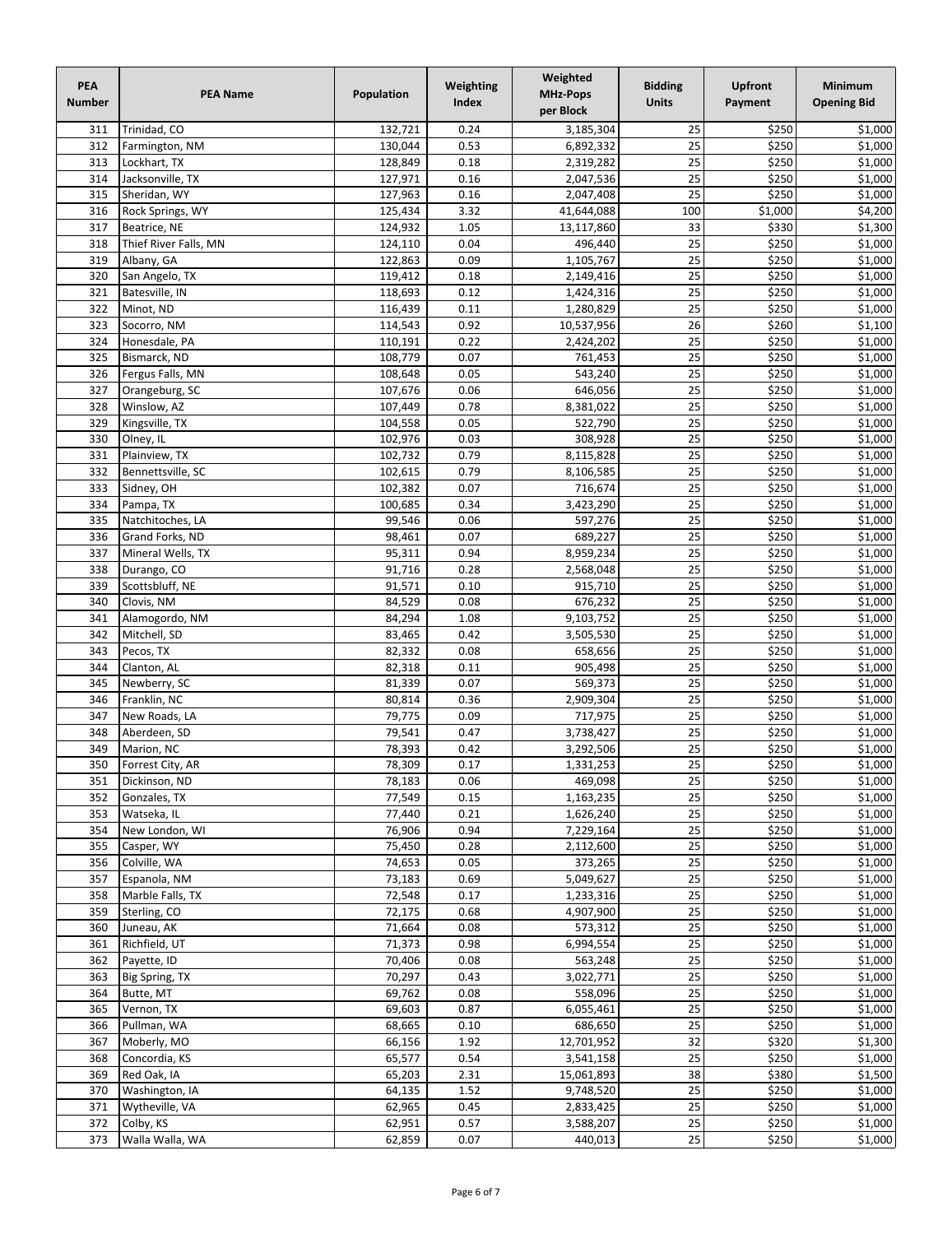| PEA<br><b>Number</b> | <b>PEA Name</b>                  | Population         | Weighting<br>Index | Weighted<br><b>MHz-Pops</b><br>per Block | <b>Bidding</b><br><b>Units</b> | <b>Upfront</b><br>Payment | Minimum<br><b>Opening Bid</b> |
|----------------------|----------------------------------|--------------------|--------------------|------------------------------------------|--------------------------------|---------------------------|-------------------------------|
| 311                  | Trinidad, CO                     | 132,721            | 0.24               | 3,185,304                                | 25                             | \$250                     | \$1,000                       |
| 312                  | Farmington, NM                   | 130,044            | 0.53               | 6,892,332                                | 25                             | \$250                     | 51,000                        |
| 313                  | Lockhart, TX                     | 128,849            | 0.18               | 2,319,282                                | 25                             | \$250                     | \$1,000                       |
| 314                  | Jacksonville, TX                 | 127,971            | 0.16               | 2,047,536                                | 25                             | \$250                     | \$1,000                       |
| 315                  | Sheridan, WY                     | 127,963            | 0.16               | 2,047,408                                | 25                             | \$250                     | \$1,000                       |
| 316<br>317           | Rock Springs, WY<br>Beatrice, NE | 125,434            | 3.32               | 41,644,088                               | 100<br>33                      | \$1,000<br>\$330          | \$4,200<br>51,300             |
| 318                  | Thief River Falls, MN            | 124,932<br>124,110 | 1.05<br>0.04       | 13,117,860<br>496,440                    | $\overline{25}$                | \$250                     | $\frac{1}{51,000}$            |
| 319                  | Albany, GA                       | 122,863            | 0.09               | 1,105,767                                | 25                             | \$250                     | 51,000                        |
| 320                  | San Angelo, TX                   | 119,412            | 0.18               | 2,149,416                                | 25                             | \$250                     | \$1,000                       |
| 321                  | Batesville, IN                   | 118,693            | 0.12               | 1,424,316                                | 25                             | \$250                     | \$1,000                       |
| 322                  | Minot, ND                        | 116,439            | 0.11               | 1,280,829                                | $\overline{25}$                | \$250                     | $\overline{$}1,000$           |
| 323                  | Socorro, NM                      | 114,543            | 0.92               | 10,537,956                               | 26                             | \$260                     | \$1,100                       |
| 324                  | Honesdale, PA                    | 110,191            | 0.22               | 2,424,202                                | 25                             | \$250                     | \$1,000                       |
| 325                  | Bismarck, ND                     | 108,779            | 0.07               | 761,453                                  | 25                             | \$250                     | \$1,000                       |
| 326                  | Fergus Falls, MN                 | 108,648            | 0.05               | 543,240                                  | $\overline{25}$                | \$250                     | $\overline{$}1,000$           |
| 327                  | Orangeburg, SC                   | 107,676            | 0.06               | 646,056                                  | 25                             | \$250                     | 51,000                        |
| 328                  | Winslow, AZ                      | 107,449            | 0.78               | 8,381,022                                | 25                             | \$250                     | \$1,000                       |
| 329<br>330           | Kingsville, TX<br>Olney, IL      | 104,558<br>102,976 | 0.05<br>0.03       | 522,790<br>308,928                       | 25<br>25                       | \$250<br>\$250            | \$1,000<br>\$1,000            |
| 331                  | Plainview, TX                    | 102,732            | 0.79               | 8,115,828                                | 25                             | \$250                     | $\overline{$}1,000$           |
| 332                  | Bennettsville, SC                | 102,615            | 0.79               | 8,106,585                                | 25                             | \$250                     | \$1,000                       |
| 333                  | Sidney, OH                       | 102,382            | 0.07               | 716,674                                  | 25                             | \$250                     | \$1,000                       |
| 334                  | Pampa, TX                        | 100,685            | 0.34               | 3,423,290                                | $\overline{25}$                | \$250                     | \$1,000                       |
| 335                  | Natchitoches, LA                 | 99,546             | 0.06               | 597,276                                  | 25                             | \$250                     | \$1,000                       |
| 336                  | Grand Forks, ND                  | 98,461             | 0.07               | 689,227                                  | $\overline{25}$                | \$250                     | \$1,000                       |
| 337                  | Mineral Wells, TX                | 95,311             | 0.94               | 8,959,234                                | $\overline{25}$                | \$250                     | \$1,000                       |
| 338                  | Durango, CO                      | 91,716             | 0.28               | 2,568,048                                | 25                             | \$250                     | \$1,000                       |
| 339                  | Scottsbluff, NE                  | 91,571             | 0.10               | 915,710                                  | 25                             | \$250                     | \$1,000                       |
| 340                  | Clovis, NM                       | 84,529             | 0.08               | 676,232                                  | 25                             | \$250                     | \$1,000                       |
| 341                  | Alamogordo, NM                   | 84,294             | 1.08               | 9,103,752                                | 25                             | \$250                     | 51,000                        |
| 342                  | Mitchell, SD                     | 83,465             | 0.42               | 3,505,530                                | 25                             | \$250                     | 51,000                        |
| 343                  | Pecos, TX                        | 82,332             | 0.08               | 658,656                                  | 25                             | \$250                     | \$1,000                       |
| 344<br>345           | Clanton, AL<br>Newberry, SC      | 82,318<br>81,339   | 0.11<br>0.07       | 905,498<br>569,373                       | 25<br>25                       | \$250<br>\$250            | \$1,000<br>\$1,000            |
| 346                  | Franklin, NC                     | 80,814             | 0.36               | 2,909,304                                | 25                             | \$250                     | \$1,000                       |
| 347                  | New Roads, LA                    | 79,775             | 0.09               | 717,975                                  | 25                             | \$250                     | $\overline{$}1,000$           |
| 348                  | Aberdeen, SD                     | 79,541             | 0.47               | 3,738,427                                | 25                             | \$250                     | \$1,000                       |
| 349                  | Marion, NC                       | 78,393             | 0.42               | 3,292,506                                | 25                             | \$250                     | $\overline{$}1,000$           |
| 350                  | Forrest City, AR                 | 78,309             | 0.17               | 1,331,253                                | 25                             | \$250                     | \$1,000                       |
| 351                  | Dickinson, ND                    | 78,183             | 0.06               | 469,098                                  | 25                             | \$250                     | 51,000                        |
| 352                  | Gonzales, TX                     | 77,549             | 0.15               | 1,163,235                                | 25                             | \$250                     | \$1,000                       |
| 353                  | Watseka, IL                      | 77,440             | 0.21               | 1,626,240                                | $\overline{25}$                | \$250                     | \$1,000                       |
| 354                  | New London, WI                   | 76,906             | 0.94               | 7,229,164                                | 25                             | \$250                     | \$1,000                       |
| 355                  | Casper, WY                       | 75,450             | 0.28               | 2,112,600                                | 25                             | \$250                     | \$1,000                       |
| 356                  | Colville, WA                     | 74,653             | 0.05               | 373,265                                  | 25                             | \$250                     | \$1,000                       |
| 357<br>358           | Espanola, NM<br>Marble Falls, TX | 73,183<br>72,548   | 0.69<br>0.17       | 5,049,627<br>1,233,316                   | 25<br>25                       | \$250<br>\$250            | \$1,000<br>\$1,000            |
| 359                  | Sterling, CO                     | 72,175             | 0.68               | 4,907,900                                | 25                             | \$250                     | \$1,000                       |
| 360                  | Juneau, AK                       | 71,664             | 0.08               | 573,312                                  | 25                             | \$250                     | \$1,000                       |
| 361                  | Richfield, UT                    | 71,373             | 0.98               | 6,994,554                                | 25                             | \$250                     | \$1,000                       |
| 362                  | Payette, ID                      | 70,406             | 0.08               | 563,248                                  | 25                             | \$250                     | \$1,000                       |
| 363                  | Big Spring, TX                   | 70,297             | 0.43               | 3,022,771                                | 25                             | \$250                     | \$1,000                       |
| 364                  | Butte, MT                        | 69,762             | 0.08               | 558,096                                  | 25                             | \$250                     | \$1,000                       |
| 365                  | Vernon, TX                       | 69,603             | 0.87               | 6,055,461                                | 25                             | \$250                     | \$1,000                       |
| 366                  | Pullman, WA                      | 68,665             | 0.10               | 686,650                                  | 25                             | \$250                     | \$1,000                       |
| 367                  | Moberly, MO                      | 66,156             | 1.92               | 12,701,952                               | 32                             | \$320                     | \$1,300                       |
| 368                  | Concordia, KS                    | 65,577             | 0.54               | 3,541,158                                | 25                             | \$250                     | \$1,000                       |
| 369                  | Red Oak, IA                      | 65,203             | 2.31               | 15,061,893                               | $\overline{38}$                | \$380                     | \$1,500                       |
| 370                  | Washington, IA                   | 64,135             | 1.52               | 9,748,520                                | 25                             | \$250                     | \$1,000                       |
| 371<br>372           | Wytheville, VA                   | 62,965             | 0.45               | 2,833,425                                | 25<br>25                       | \$250                     | \$1,000                       |
| 373                  | Colby, KS<br>Walla Walla, WA     | 62,951<br>62,859   | 0.57<br>0.07       | 3,588,207<br>440,013                     | $\overline{25}$                | \$250<br>\$250            | \$1,000<br>\$1,000            |
|                      |                                  |                    |                    |                                          |                                |                           |                               |